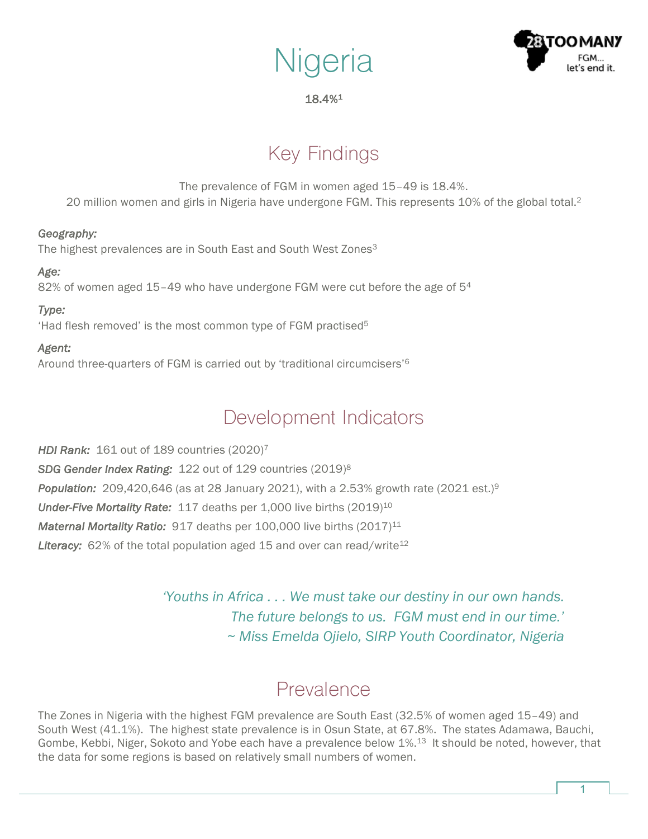# **Nigeria**



#### 18.4%1

## Key Findings

The prevalence of FGM in women aged 15–49 is 18.4%. 20 million women and girls in Nigeria have undergone FGM. This represents 10% of the global total.2

#### *Geography:*

The highest prevalences are in South East and South West Zones<sup>3</sup>

#### *Age:*

82% of women aged 15–49 who have undergone FGM were cut before the age of 54

#### *Type:*

'Had flesh removed' is the most common type of FGM practised<sup>5</sup>

#### *Agent:*

Around three-quarters of FGM is carried out by 'traditional circumcisers'6

### Development Indicators

*HDI Rank:* 161 out of 189 countries (2020)7 *SDG Gender Index Rating:* 122 out of 129 countries (2019)8 *Population:* 209,420,646 (as at 28 January 2021), with a 2.53% growth rate (2021 est.)9 *Under-Five Mortality Rate:* 117 deaths per 1,000 live births (2019)10 *Maternal Mortality Ratio:* 917 deaths per 100,000 live births (2017)<sup>11</sup> Literacy: 62% of the total population aged 15 and over can read/write<sup>12</sup>

> *'Youths in Africa . . . We must take our destiny in our own hands. The future belongs to us. FGM must end in our time.' ~ Miss Emelda Ojielo, SIRP Youth Coordinator, Nigeria*

### Prevalence

The Zones in Nigeria with the highest FGM prevalence are South East (32.5% of women aged 15–49) and South West (41.1%). The highest state prevalence is in Osun State, at 67.8%. The states Adamawa, Bauchi, Gombe, Kebbi, Niger, Sokoto and Yobe each have a prevalence below 1%.13 It should be noted, however, that the data for some regions is based on relatively small numbers of women.

1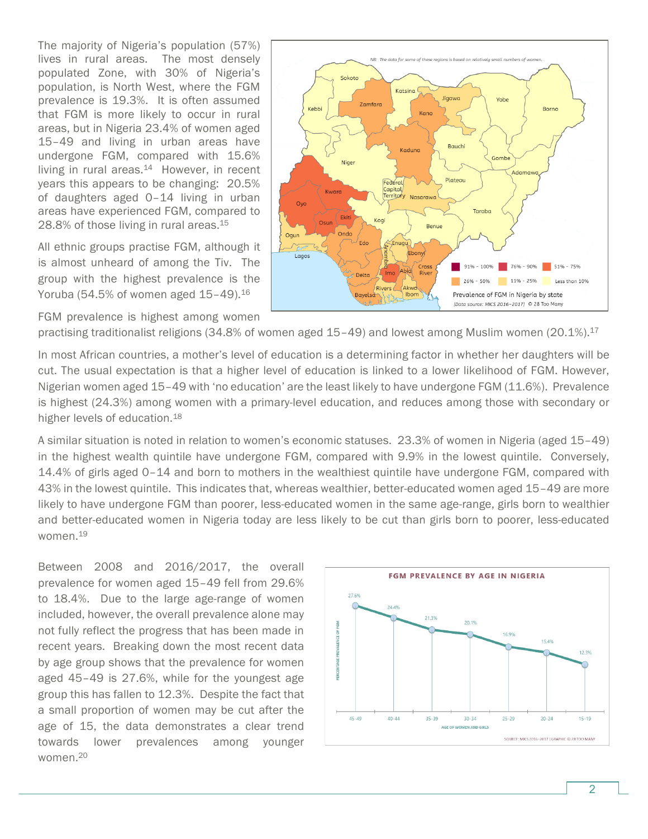The majority of Nigeria's population (57%) lives in rural areas. The most densely populated Zone, with 30% of Nigeria's population, is North West, where the FGM prevalence is 19.3%. It is often assumed that FGM is more likely to occur in rural areas, but in Nigeria 23.4% of women aged 15–49 and living in urban areas have undergone FGM, compared with 15.6% living in rural areas.<sup>14</sup> However, in recent years this appears to be changing: 20.5% of daughters aged 0–14 living in urban areas have experienced FGM, compared to 28.8% of those living in rural areas.<sup>15</sup>

All ethnic groups practise FGM, although it is almost unheard of among the Tiv. The group with the highest prevalence is the Yoruba (54.5% of women aged  $15-49$ ).<sup>16</sup>

FGM prevalence is highest among women



practising traditionalist religions (34.8% of women aged 15-49) and lowest among Muslim women (20.1%).<sup>17</sup>

In most African countries, a mother's level of education is a determining factor in whether her daughters will be cut. The usual expectation is that a higher level of education is linked to a lower likelihood of FGM. However, Nigerian women aged 15–49 with 'no education' are the least likely to have undergone FGM (11.6%). Prevalence is highest (24.3%) among women with a primary-level education, and reduces among those with secondary or higher levels of education.<sup>18</sup>

A similar situation is noted in relation to women's economic statuses. 23.3% of women in Nigeria (aged 15–49) in the highest wealth quintile have undergone FGM, compared with 9.9% in the lowest quintile. Conversely, 14.4% of girls aged 0–14 and born to mothers in the wealthiest quintile have undergone FGM, compared with 43% in the lowest quintile. This indicates that, whereas wealthier, better-educated women aged 15–49 are more likely to have undergone FGM than poorer, less-educated women in the same age-range, girls born to wealthier and better-educated women in Nigeria today are less likely to be cut than girls born to poorer, less-educated women.19

Between 2008 and 2016/2017, the overall prevalence for women aged 15–49 fell from 29.6% to 18.4%. Due to the large age-range of women included, however, the overall prevalence alone may not fully reflect the progress that has been made in recent years. Breaking down the most recent data by age group shows that the prevalence for women aged 45–49 is 27.6%, while for the youngest age group this has fallen to 12.3%. Despite the fact that a small proportion of women may be cut after the age of 15, the data demonstrates a clear trend towards lower prevalences among younger women.20